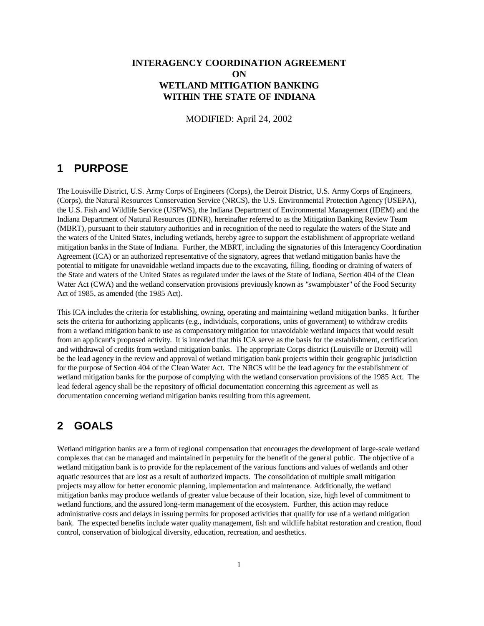### **INTERAGENCY COORDINATION AGREEMENT ON WETLAND MITIGATION BANKING WITHIN THE STATE OF INDIANA**

MODIFIED: April 24, 2002

### **1 PURPOSE**

The Louisville District, U.S. Army Corps of Engineers (Corps), the Detroit District, U.S. Army Corps of Engineers, (Corps), the Natural Resources Conservation Service (NRCS), the U.S. Environmental Protection Agency (USEPA), the U.S. Fish and Wildlife Service (USFWS), the Indiana Department of Environmental Management (IDEM) and the Indiana Department of Natural Resources (IDNR), hereinafter referred to as the Mitigation Banking Review Team (MBRT), pursuant to their statutory authorities and in recognition of the need to regulate the waters of the State and the waters of the United States, including wetlands, hereby agree to support the establishment of appropriate wetland mitigation banks in the State of Indiana. Further, the MBRT, including the signatories of this Interagency Coordination Agreement (ICA) or an authorized representative of the signatory, agrees that wetland mitigation banks have the potential to mitigate for unavoidable wetland impacts due to the excavating, filling, flooding or draining of waters of the State and waters of the United States as regulated under the laws of the State of Indiana, Section 404 of the Clean Water Act (CWA) and the wetland conservation provisions previously known as "swampbuster" of the Food Security Act of 1985, as amended (the 1985 Act).

This ICA includes the criteria for establishing, owning, operating and maintaining wetland mitigation banks. It further sets the criteria for authorizing applicants (e.g., individuals, corporations, units of government) to withdraw credits from a wetland mitigation bank to use as compensatory mitigation for unavoidable wetland impacts that would result from an applicant's proposed activity. It is intended that this ICA serve as the basis for the establishment, certification and withdrawal of credits from wetland mitigation banks. The appropriate Corps district (Louisville or Detroit) will be the lead agency in the review and approval of wetland mitigation bank projects within their geographic jurisdiction for the purpose of Section 404 of the Clean Water Act. The NRCS will be the lead agency for the establishment of wetland mitigation banks for the purpose of complying with the wetland conservation provisions of the 1985 Act. The lead federal agency shall be the repository of official documentation concerning this agreement as well as documentation concerning wetland mitigation banks resulting from this agreement.

# **2 GOALS**

Wetland mitigation banks are a form of regional compensation that encourages the development of large-scale wetland complexes that can be managed and maintained in perpetuity for the benefit of the general public. The objective of a wetland mitigation bank is to provide for the replacement of the various functions and values of wetlands and other aquatic resources that are lost as a result of authorized impacts. The consolidation of multiple small mitigation projects may allow for better economic planning, implementation and maintenance. Additionally, the wetland mitigation banks may produce wetlands of greater value because of their location, size, high level of commitment to wetland functions, and the assured long-term management of the ecosystem. Further, this action may reduce administrative costs and delays in issuing permits for proposed activities that qualify for use of a wetland mitigation bank. The expected benefits include water quality management, fish and wildlife habitat restoration and creation, flood control, conservation of biological diversity, education, recreation, and aesthetics.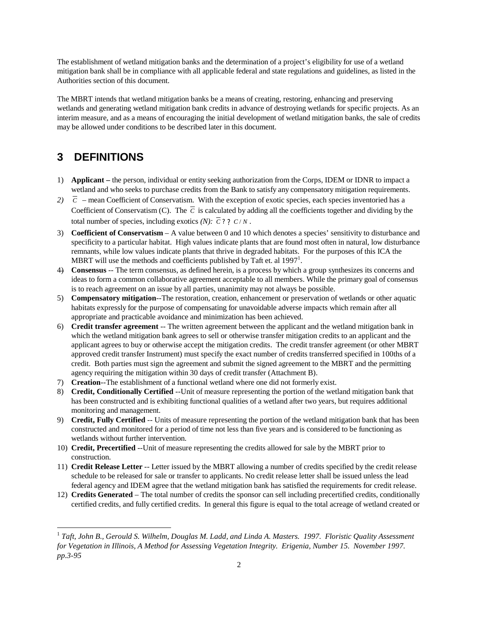The establishment of wetland mitigation banks and the determination of a project's eligibility for use of a wetland mitigation bank shall be in compliance with all applicable federal and state regulations and guidelines, as listed in the Authorities section of this document.

The MBRT intends that wetland mitigation banks be a means of creating, restoring, enhancing and preserving wetlands and generating wetland mitigation bank credits in advance of destroying wetlands for specific projects. As an interim measure, and as a means of encouraging the initial development of wetland mitigation banks, the sale of credits may be allowed under conditions to be described later in this document.

# **3 DEFINITIONS**

- 1) **Applicant –** the person, individual or entity seeking authorization from the Corps, IDEM or IDNR to impact a wetland and who seeks to purchase credits from the Bank to satisfy any compensatory mitigation requirements.
- 2)  $\bar{c}$  mean Coefficient of Conservatism. With the exception of exotic species, each species inventoried has a Coefficient of Conservatism (C). The  $\overline{C}$  is calculated by adding all the coefficients together and dividing by the total number of species, including exotics  $(N)$ :  $\overline{C}$  ? ?  $C/N$ .
- 3) **Coefficient of Conservatism** *–*A value between 0 and 10 which denotes a species' sensitivity to disturbance and specificity to a particular habitat. High values indicate plants that are found most often in natural, low disturbance remnants, while low values indicate plants that thrive in degraded habitats. For the purposes of this ICA the MBRT will use the methods and coefficients published by Taft et. al  $1997<sup>1</sup>$ .
- 4) **Consensus** -- The term consensus, as defined herein, is a process by which a group synthesizes its concerns and ideas to form a common collaborative agreement acceptable to all members. While the primary goal of consensus is to reach agreement on an issue by all parties, unanimity may not always be possible.
- 5) **Compensatory mitigation**--The restoration, creation, enhancement or preservation of wetlands or other aquatic habitats expressly for the purpose of compensating for unavoidable adverse impacts which remain after all appropriate and practicable avoidance and minimization has been achieved.
- 6) **Credit transfer agreement** -- The written agreement between the applicant and the wetland mitigation bank in which the wetland mitigation bank agrees to sell or otherwise transfer mitigation credits to an applicant and the applicant agrees to buy or otherwise accept the mitigation credits. The credit transfer agreement (or other MBRT approved credit transfer Instrument) must specify the exact number of credits transferred specified in 100ths of a credit. Both parties must sign the agreement and submit the signed agreement to the MBRT and the permitting agency requiring the mitigation within 30 days of credit transfer (Attachment B).
- 7) **Creation**--The establishment of a functional wetland where one did not formerly exist.
- 8) **Credit, Conditionally Certified** --Unit of measure representing the portion of the wetland mitigation bank that has been constructed and is exhibiting functional qualities of a wetland after two years, but requires additional monitoring and management.
- 9) **Credit, Fully Certified** -- Units of measure representing the portion of the wetland mitigation bank that has been constructed and monitored for a period of time not less than five years and is considered to be functioning as wetlands without further intervention.
- 10) **Credit, Precertified** --Unit of measure representing the credits allowed for sale by the MBRT prior to construction.
- 11) **Credit Release Letter** -- Letter issued by the MBRT allowing a number of credits specified by the credit release schedule to be released for sale or transfer to applicants. No credit release letter shall be issued unless the lead federal agency and IDEM agree that the wetland mitigation bank has satisfied the requirements for credit release.
- 12) **Credits Generated** The total number of credits the sponsor can sell including precertified credits, conditionally certified credits, and fully certified credits. In general this figure is equal to the total acreage of wetland created or

 1 *Taft, John B., Gerould S. Wilhelm, Douglas M. Ladd, and Linda A. Masters. 1997. Floristic Quality Assessment for Vegetation in Illinois, A Method for Assessing Vegetation Integrity. Erigenia, Number 15. November 1997. pp.3-95*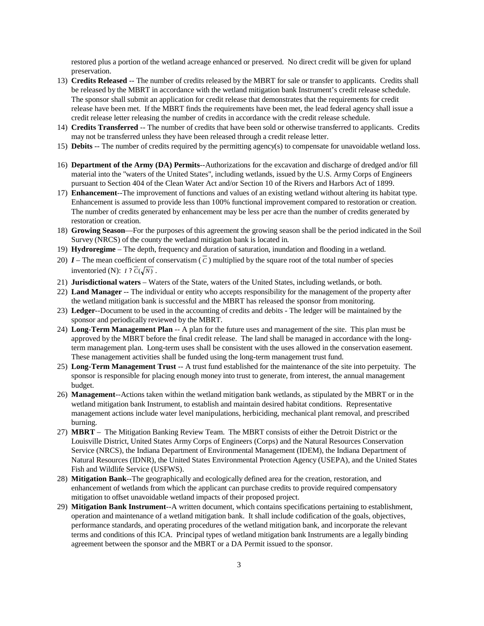restored plus a portion of the wetland acreage enhanced or preserved. No direct credit will be given for upland preservation.

- 13) **Credits Released** -- The number of credits released by the MBRT for sale or transfer to applicants. Credits shall be released by the MBRT in accordance with the wetland mitigation bank Instrument's credit release schedule. The sponsor shall submit an application for credit release that demonstrates that the requirements for credit release have been met. If the MBRT finds the requirements have been met, the lead federal agency shall issue a credit release letter releasing the number of credits in accordance with the credit release schedule.
- 14) **Credits Transferred** -- The number of credits that have been sold or otherwise transferred to applicants. Credits may not be transferred unless they have been released through a credit release letter.
- 15) **Debits** -- The number of credits required by the permitting agency(s) to compensate for unavoidable wetland loss.
- 16) **Department of the Army (DA) Permits**--Authorizations for the excavation and discharge of dredged and/or fill material into the "waters of the United States", including wetlands, issued by the U.S. Army Corps of Engineers pursuant to Section 404 of the Clean Water Act and/or Section 10 of the Rivers and Harbors Act of 1899.
- 17) **Enhancement**--The improvement of functions and values of an existing wetland without altering its habitat type. Enhancement is assumed to provide less than 100% functional improvement compared to restoration or creation. The number of credits generated by enhancement may be less per acre than the number of credits generated by restoration or creation.
- 18) **Growing Season** For the purposes of this agreement the growing season shall be the period indicated in the Soil Survey (NRCS) of the county the wetland mitigation bank is located in*.*
- 19) **Hydroregime** The depth, frequency and duration of saturation, inundation and flooding in a wetland.
- 20)  $I$  The mean coefficient of conservatism  $(\overline{c})$  multiplied by the square root of the total number of species inventoried (N):  $I$  ?  $\overline{C}(\sqrt{N})$ .
- 21) **Jurisdictional waters** Waters of the State, waters of the United States, including wetlands, or both.
- 22) **Land Manager** -- The individual or entity who accepts responsibility for the management of the property after the wetland mitigation bank is successful and the MBRT has released the sponsor from monitoring.
- 23) **Ledger**--Document to be used in the accounting of credits and debits The ledger will be maintained by the sponsor and periodically reviewed by the MBRT.
- 24) **Long-Term Management Plan** -- A plan for the future uses and management of the site. This plan must be approved by the MBRT before the final credit release. The land shall be managed in accordance with the longterm management plan. Long-term uses shall be consistent with the uses allowed in the conservation easement. These management activities shall be funded using the long-term management trust fund.
- 25) **Long-Term Management Trust** -- A trust fund established for the maintenance of the site into perpetuity. The sponsor is responsible for placing enough money into trust to generate, from interest, the annual management budget.
- 26) **Management**--Actions taken within the wetland mitigation bank wetlands, as stipulated by the MBRT or in the wetland mitigation bank Instrument, to establish and maintain desired habitat conditions. Representative management actions include water level manipulations, herbiciding, mechanical plant removal, and prescribed burning.
- 27) **MBRT** The Mitigation Banking Review Team. The MBRT consists of either the Detroit District or the Louisville District, United States Army Corps of Engineers (Corps) and the Natural Resources Conservation Service (NRCS), the Indiana Department of Environmental Management (IDEM), the Indiana Department of Natural Resources (IDNR), the United States Environmental Protection Agency (USEPA), and the United States Fish and Wildlife Service (USFWS).
- 28) **Mitigation Bank**--The geographically and ecologically defined area for the creation, restoration, and enhancement of wetlands from which the applicant can purchase credits to provide required compensatory mitigation to offset unavoidable wetland impacts of their proposed project.
- 29) **Mitigation Bank Instrument**--A written document, which contains specifications pertaining to establishment, operation and maintenance of a wetland mitigation bank. It shall include codification of the goals, objectives, performance standards, and operating procedures of the wetland mitigation bank, and incorporate the relevant terms and conditions of this ICA. Principal types of wetland mitigation bank Instruments are a legally binding agreement between the sponsor and the MBRT or a DA Permit issued to the sponsor.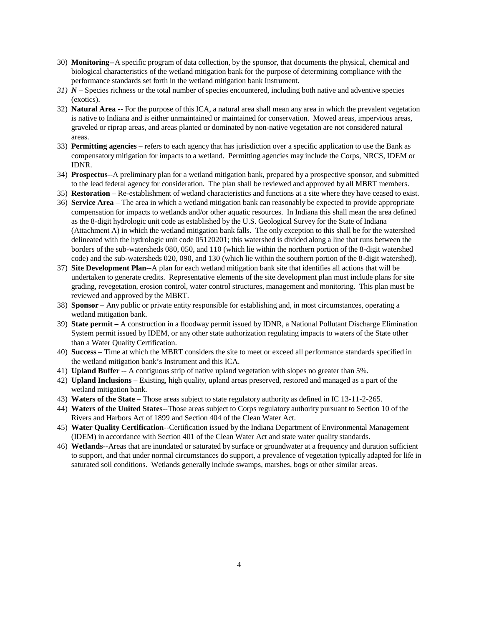- 30) **Monitoring**--A specific program of data collection, by the sponsor, that documents the physical, chemical and biological characteristics of the wetland mitigation bank for the purpose of determining compliance with the performance standards set forth in the wetland mitigation bank Instrument.
- *31) N –*Species richness or the total number of species encountered, including both native and adventive species (exotics).
- 32) **Natural Area** -- For the purpose of this ICA, a natural area shall mean any area in which the prevalent vegetation is native to Indiana and is either unmaintained or maintained for conservation. Mowed areas, impervious areas, graveled or riprap areas, and areas planted or dominated by non-native vegetation are not considered natural areas.
- 33) **Permitting agencies** refers to each agency that has jurisdiction over a specific application to use the Bank as compensatory mitigation for impacts to a wetland. Permitting agencies may include the Corps, NRCS, IDEM or IDNR.
- 34) **Prospectus**--A preliminary plan for a wetland mitigation bank, prepared by a prospective sponsor, and submitted to the lead federal agency for consideration. The plan shall be reviewed and approved by all MBRT members.
- 35) **Restoration** Re-establishment of wetland characteristics and functions at a site where they have ceased to exist.
- 36) **Service Area** The area in which a wetland mitigation bank can reasonably be expected to provide appropriate compensation for impacts to wetlands and/or other aquatic resources. In Indiana this shall mean the area defined as the 8-digit hydrologic unit code as established by the U.S. Geological Survey for the State of Indiana (Attachment A) in which the wetland mitigation bank falls. The only exception to this shall be for the watershed delineated with the hydrologic unit code 05120201; this watershed is divided along a line that runs between the borders of the sub-watersheds 080, 050, and 110 (which lie within the northern portion of the 8-digit watershed code) and the sub-watersheds 020, 090, and 130 (which lie within the southern portion of the 8-digit watershed).
- 37) **Site Development Plan**--A plan for each wetland mitigation bank site that identifies all actions that will be undertaken to generate credits. Representative elements of the site development plan must include plans for site grading, revegetation, erosion control, water control structures, management and monitoring. This plan must be reviewed and approved by the MBRT.
- 38) **Sponsor**  Any public or private entity responsible for establishing and, in most circumstances, operating a wetland mitigation bank.
- 39) **State permit –** A construction in a floodway permit issued by IDNR, a National Pollutant Discharge Elimination System permit issued by IDEM, or any other state authorization regulating impacts to waters of the State other than a Water Quality Certification.
- 40) **Success** Time at which the MBRT considers the site to meet or exceed all performance standards specified in the wetland mitigation bank's Instrument and this ICA.
- 41) **Upland Buffer** -- A contiguous strip of native upland vegetation with slopes no greater than 5%.
- 42) **Upland Inclusions**  Existing, high quality, upland areas preserved, restored and managed as a part of the wetland mitigation bank.
- 43) **Waters of the State**  Those areas subject to state regulatory authority as defined in IC 13-11-2-265.
- 44) **Waters of the United States**--Those areas subject to Corps regulatory authority pursuant to Section 10 of the Rivers and Harbors Act of 1899 and Section 404 of the Clean Water Act.
- 45) **Water Quality Certification**--Certification issued by the Indiana Department of Environmental Management (IDEM) in accordance with Section 401 of the Clean Water Act and state water quality standards.
- 46) **Wetlands**--Areas that are inundated or saturated by surface or groundwater at a frequency and duration sufficient to support, and that under normal circumstances do support, a prevalence of vegetation typically adapted for life in saturated soil conditions. Wetlands generally include swamps, marshes, bogs or other similar areas.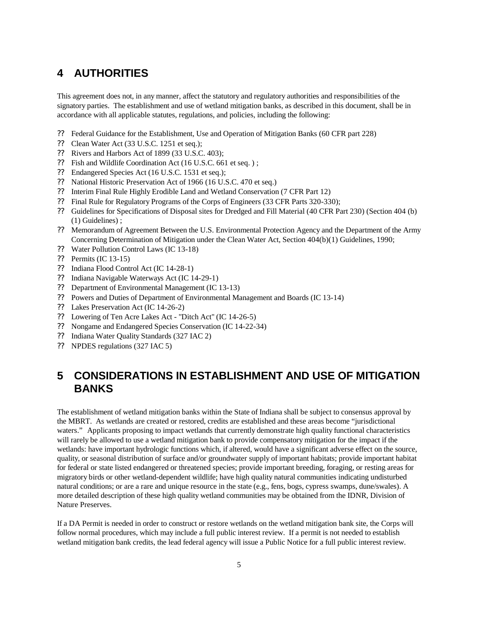# **4 AUTHORITIES**

This agreement does not, in any manner, affect the statutory and regulatory authorities and responsibilities of the signatory parties. The establishment and use of wetland mitigation banks, as described in this document, shall be in accordance with all applicable statutes, regulations, and policies, including the following:

- ? ? Federal Guidance for the Establishment, Use and Operation of Mitigation Banks (60 CFR part 228)
- ?? Clean Water Act (33 U.S.C. 1251 et seq.);
- ? ? Rivers and Harbors Act of 1899 (33 U.S.C. 403);
- ?? Fish and Wildlife Coordination Act (16 U.S.C. 661 et seq.);
- ?? Endangered Species Act (16 U.S.C. 1531 et seq.);
- ?? National Historic Preservation Act of 1966 (16 U.S.C. 470 et seq.)
- ? ? Interim Final Rule Highly Erodible Land and Wetland Conservation (7 CFR Part 12)
- ? ? Final Rule for Regulatory Programs of the Corps of Engineers (33 CFR Parts 320-330);
- ? ? Guidelines for Specifications of Disposal sites for Dredged and Fill Material (40 CFR Part 230) (Section 404 (b) (1) Guidelines) ;
- ? ? Memorandum of Agreement Between the U.S. Environmental Protection Agency and the Department of the Army Concerning Determination of Mitigation under the Clean Water Act, Section 404(b)(1) Guidelines, 1990;
- ? ? Water Pollution Control Laws (IC 13-18)
- ? ? Permits (IC 13-15)
- ? ? Indiana Flood Control Act (IC 14-28-1)
- ? ? Indiana Navigable Waterways Act (IC 14-29-1)
- ? ? Department of Environmental Management (IC 13-13)
- ? ? Powers and Duties of Department of Environmental Management and Boards (IC 13-14)
- ? ? Lakes Preservation Act (IC 14-26-2)
- ?? Lowering of Ten Acre Lakes Act "Ditch Act" (IC 14-26-5)
- ? ? Nongame and Endangered Species Conservation (IC 14-22-34)
- ? ? Indiana Water Quality Standards (327 IAC 2)
- ? ? NPDES regulations (327 IAC 5)

# **5 CONSIDERATIONS IN ESTABLISHMENT AND USE OF MITIGATION BANKS**

The establishment of wetland mitigation banks within the State of Indiana shall be subject to consensus approval by the MBRT. As wetlands are created or restored, credits are established and these areas become "jurisdictional waters." Applicants proposing to impact wetlands that currently demonstrate high quality functional characteristics will rarely be allowed to use a wetland mitigation bank to provide compensatory mitigation for the impact if the wetlands: have important hydrologic functions which, if altered, would have a significant adverse effect on the source, quality, or seasonal distribution of surface and/or groundwater supply of important habitats; provide important habitat for federal or state listed endangered or threatened species; provide important breeding, foraging, or resting areas for migratory birds or other wetland-dependent wildlife; have high quality natural communities indicating undisturbed natural conditions; or are a rare and unique resource in the state (e.g., fens, bogs, cypress swamps, dune/swales). A more detailed description of these high quality wetland communities may be obtained from the IDNR, Division of Nature Preserves.

If a DA Permit is needed in order to construct or restore wetlands on the wetland mitigation bank site, the Corps will follow normal procedures, which may include a full public interest review. If a permit is not needed to establish wetland mitigation bank credits, the lead federal agency will issue a Public Notice for a full public interest review.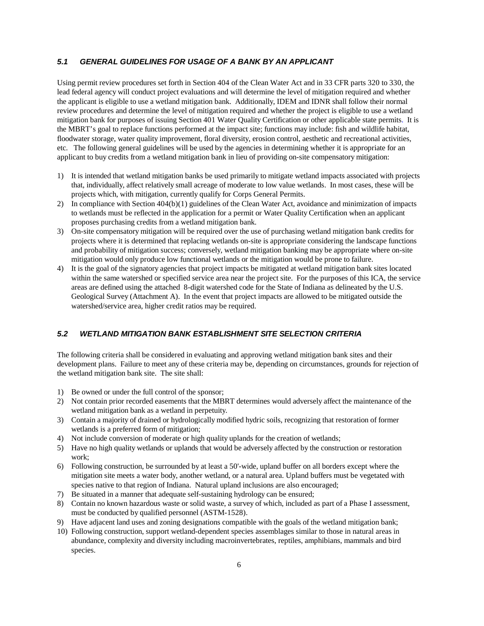#### *5.1 GENERAL GUIDELINES FOR USAGE OF A BANK BY AN APPLICANT*

Using permit review procedures set forth in Section 404 of the Clean Water Act and in 33 CFR parts 320 to 330, the lead federal agency will conduct project evaluations and will determine the level of mitigation required and whether the applicant is eligible to use a wetland mitigation bank. Additionally, IDEM and IDNR shall follow their normal review procedures and determine the level of mitigation required and whether the project is eligible to use a wetland mitigation bank for purposes of issuing Section 401 Water Quality Certification or other applicable state permits. It is the MBRT's goal to replace functions performed at the impact site; functions may include: fish and wildlife habitat, floodwater storage, water quality improvement, floral diversity, erosion control, aesthetic and recreational activities, etc. The following general guidelines will be used by the agencies in determining whether it is appropriate for an applicant to buy credits from a wetland mitigation bank in lieu of providing on-site compensatory mitigation:

- 1) It is intended that wetland mitigation banks be used primarily to mitigate wetland impacts associated with projects that, individually, affect relatively small acreage of moderate to low value wetlands. In most cases, these will be projects which, with mitigation, currently qualify for Corps General Permits.
- 2) In compliance with Section 404(b)(1) guidelines of the Clean Water Act, avoidance and minimization of impacts to wetlands must be reflected in the application for a permit or Water Quality Certification when an applicant proposes purchasing credits from a wetland mitigation bank.
- 3) On-site compensatory mitigation will be required over the use of purchasing wetland mitigation bank credits for projects where it is determined that replacing wetlands on-site is appropriate considering the landscape functions and probability of mitigation success; conversely, wetland mitigation banking may be appropriate where on-site mitigation would only produce low functional wetlands or the mitigation would be prone to failure.
- 4) It is the goal of the signatory agencies that project impacts be mitigated at wetland mitigation bank sites located within the same watershed or specified service area near the project site. For the purposes of this ICA, the service areas are defined using the attached 8-digit watershed code for the State of Indiana as delineated by the U.S. Geological Survey (Attachment A). In the event that project impacts are allowed to be mitigated outside the watershed/service area, higher credit ratios may be required.

#### *5.2 WETLAND MITIGATION BANK ESTABLISHMENT SITE SELECTION CRITERIA*

The following criteria shall be considered in evaluating and approving wetland mitigation bank sites and their development plans. Failure to meet any of these criteria may be, depending on circumstances, grounds for rejection of the wetland mitigation bank site. The site shall:

- 1) Be owned or under the full control of the sponsor;
- 2) Not contain prior recorded easements that the MBRT determines would adversely affect the maintenance of the wetland mitigation bank as a wetland in perpetuity.
- 3) Contain a majority of drained or hydrologically modified hydric soils, recognizing that restoration of former wetlands is a preferred form of mitigation;
- 4) Not include conversion of moderate or high quality uplands for the creation of wetlands;
- 5) Have no high quality wetlands or uplands that would be adversely affected by the construction or restoration work;
- 6) Following construction, be surrounded by at least a 50'-wide, upland buffer on all borders except where the mitigation site meets a water body, another wetland, or a natural area. Upland buffers must be vegetated with species native to that region of Indiana. Natural upland inclusions are also encouraged;
- 7) Be situated in a manner that adequate self-sustaining hydrology can be ensured;
- 8) Contain no known hazardous waste or solid waste, a survey of which, included as part of a Phase I assessment, must be conducted by qualified personnel (ASTM-1528).
- 9) Have adjacent land uses and zoning designations compatible with the goals of the wetland mitigation bank;
- 10) Following construction, support wetland-dependent species assemblages similar to those in natural areas in abundance, complexity and diversity including macroinvertebrates, reptiles, amphibians, mammals and bird species.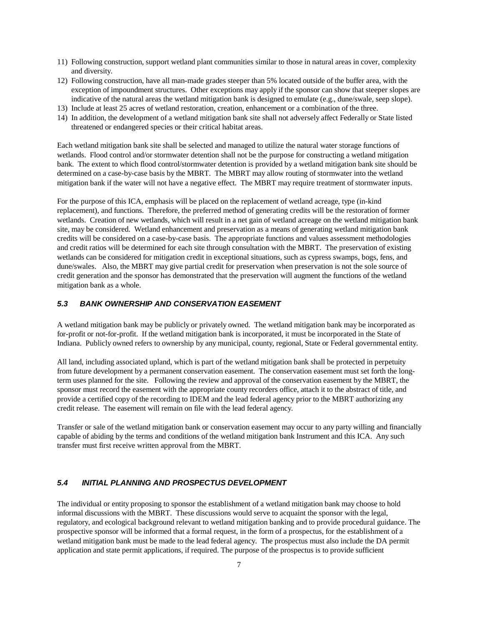- 11) Following construction, support wetland plant communities similar to those in natural areas in cover, complexity and diversity.
- 12) Following construction, have all man-made grades steeper than 5% located outside of the buffer area, with the exception of impoundment structures. Other exceptions may apply if the sponsor can show that steeper slopes are indicative of the natural areas the wetland mitigation bank is designed to emulate (e.g., dune/swale, seep slope).
- 13) Include at least 25 acres of wetland restoration, creation, enhancement or a combination of the three.
- 14) In addition, the development of a wetland mitigation bank site shall not adversely affect Federally or State listed threatened or endangered species or their critical habitat areas.

Each wetland mitigation bank site shall be selected and managed to utilize the natural water storage functions of wetlands. Flood control and/or stormwater detention shall not be the purpose for constructing a wetland mitigation bank. The extent to which flood control/stormwater detention is provided by a wetland mitigation bank site should be determined on a case-by-case basis by the MBRT. The MBRT may allow routing of stormwater into the wetland mitigation bank if the water will not have a negative effect. The MBRT may require treatment of stormwater inputs.

For the purpose of this ICA, emphasis will be placed on the replacement of wetland acreage, type (in-kind replacement), and functions. Therefore, the preferred method of generating credits will be the restoration of former wetlands. Creation of new wetlands, which will result in a net gain of wetland acreage on the wetland mitigation bank site, may be considered. Wetland enhancement and preservation as a means of generating wetland mitigation bank credits will be considered on a case-by-case basis. The appropriate functions and values assessment methodologies and credit ratios will be determined for each site through consultation with the MBRT. The preservation of existing wetlands can be considered for mitigation credit in exceptional situations, such as cypress swamps, bogs, fens, and dune/swales. Also, the MBRT may give partial credit for preservation when preservation is not the sole source of credit generation and the sponsor has demonstrated that the preservation will augment the functions of the wetland mitigation bank as a whole.

### *5.3 BANK OWNERSHIP AND CONSERVATION EASEMENT*

A wetland mitigation bank may be publicly or privately owned. The wetland mitigation bank may be incorporated as for-profit or not-for-profit. If the wetland mitigation bank is incorporated, it must be incorporated in the State of Indiana. Publicly owned refers to ownership by any municipal, county, regional, State or Federal governmental entity.

All land, including associated upland, which is part of the wetland mitigation bank shall be protected in perpetuity from future development by a permanent conservation easement. The conservation easement must set forth the longterm uses planned for the site. Following the review and approval of the conservation easement by the MBRT, the sponsor must record the easement with the appropriate county recorders office, attach it to the abstract of title, and provide a certified copy of the recording to IDEM and the lead federal agency prior to the MBRT authorizing any credit release. The easement will remain on file with the lead federal agency.

Transfer or sale of the wetland mitigation bank or conservation easement may occur to any party willing and financially capable of abiding by the terms and conditions of the wetland mitigation bank Instrument and this ICA. Any such transfer must first receive written approval from the MBRT.

#### *5.4 INITIAL PLANNING AND PROSPECTUS DEVELOPMENT*

The individual or entity proposing to sponsor the establishment of a wetland mitigation bank may choose to hold informal discussions with the MBRT. These discussions would serve to acquaint the sponsor with the legal, regulatory, and ecological background relevant to wetland mitigation banking and to provide procedural guidance. The prospective sponsor will be informed that a formal request, in the form of a prospectus, for the establishment of a wetland mitigation bank must be made to the lead federal agency. The prospectus must also include the DA permit application and state permit applications, if required. The purpose of the prospectus is to provide sufficient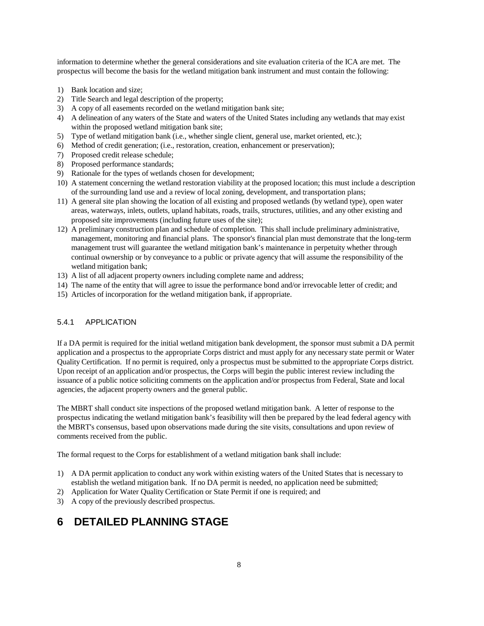information to determine whether the general considerations and site evaluation criteria of the ICA are met. The prospectus will become the basis for the wetland mitigation bank instrument and must contain the following:

- 1) Bank location and size;
- 2) Title Search and legal description of the property;
- 3) A copy of all easements recorded on the wetland mitigation bank site;
- 4) A delineation of any waters of the State and waters of the United States including any wetlands that may exist within the proposed wetland mitigation bank site;
- 5) Type of wetland mitigation bank (i.e., whether single client, general use, market oriented, etc.);
- 6) Method of credit generation; (i.e., restoration, creation, enhancement or preservation);
- 7) Proposed credit release schedule;
- 8) Proposed performance standards;
- 9) Rationale for the types of wetlands chosen for development;
- 10) A statement concerning the wetland restoration viability at the proposed location; this must include a description of the surrounding land use and a review of local zoning, development, and transportation plans;
- 11) A general site plan showing the location of all existing and proposed wetlands (by wetland type), open water areas, waterways, inlets, outlets, upland habitats, roads, trails, structures, utilities, and any other existing and proposed site improvements (including future uses of the site);
- 12) A preliminary construction plan and schedule of completion. This shall include preliminary administrative, management, monitoring and financial plans. The sponsor's financial plan must demonstrate that the long-term management trust will guarantee the wetland mitigation bank's maintenance in perpetuity whether through continual ownership or by conveyance to a public or private agency that will assume the responsibility of the wetland mitigation bank;
- 13) A list of all adjacent property owners including complete name and address;
- 14) The name of the entity that will agree to issue the performance bond and/or irrevocable letter of credit; and
- 15) Articles of incorporation for the wetland mitigation bank, if appropriate.

### 5.4.1 APPLICATION

If a DA permit is required for the initial wetland mitigation bank development, the sponsor must submit a DA permit application and a prospectus to the appropriate Corps district and must apply for any necessary state permit or Water Quality Certification. If no permit is required, only a prospectus must be submitted to the appropriate Corps district. Upon receipt of an application and/or prospectus, the Corps will begin the public interest review including the issuance of a public notice soliciting comments on the application and/or prospectus from Federal, State and local agencies, the adjacent property owners and the general public.

The MBRT shall conduct site inspections of the proposed wetland mitigation bank. A letter of response to the prospectus indicating the wetland mitigation bank's feasibility will then be prepared by the lead federal agency with the MBRT's consensus, based upon observations made during the site visits, consultations and upon review of comments received from the public.

The formal request to the Corps for establishment of a wetland mitigation bank shall include:

- 1) A DA permit application to conduct any work within existing waters of the United States that is necessary to establish the wetland mitigation bank. If no DA permit is needed, no application need be submitted;
- 2) Application for Water Quality Certification or State Permit if one is required; and
- 3) A copy of the previously described prospectus.

# **6 DETAILED PLANNING STAGE**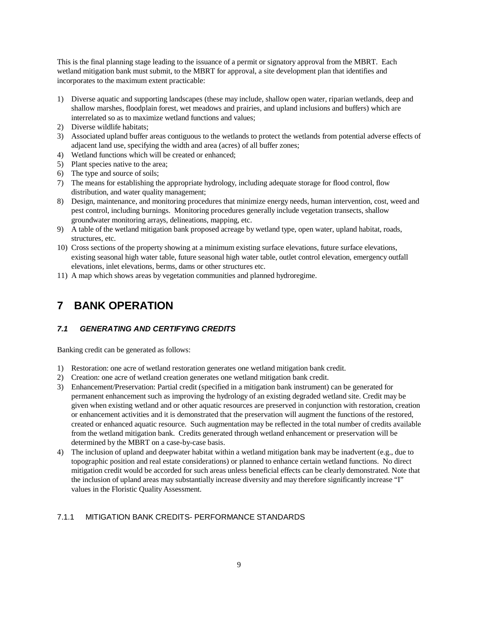This is the final planning stage leading to the issuance of a permit or signatory approval from the MBRT. Each wetland mitigation bank must submit, to the MBRT for approval, a site development plan that identifies and incorporates to the maximum extent practicable:

- 1) Diverse aquatic and supporting landscapes (these may include, shallow open water, riparian wetlands, deep and shallow marshes, floodplain forest, wet meadows and prairies, and upland inclusions and buffers) which are interrelated so as to maximize wetland functions and values;
- 2) Diverse wildlife habitats;
- 3) Associated upland buffer areas contiguous to the wetlands to protect the wetlands from potential adverse effects of adjacent land use, specifying the width and area (acres) of all buffer zones;
- 4) Wetland functions which will be created or enhanced;
- 5) Plant species native to the area;
- 6) The type and source of soils;
- 7) The means for establishing the appropriate hydrology, including adequate storage for flood control, flow distribution, and water quality management;
- 8) Design, maintenance, and monitoring procedures that minimize energy needs, human intervention, cost, weed and pest control, including burnings. Monitoring procedures generally include vegetation transects, shallow groundwater monitoring arrays, delineations, mapping, etc.
- 9) A table of the wetland mitigation bank proposed acreage by wetland type, open water, upland habitat, roads, structures, etc.
- 10) Cross sections of the property showing at a minimum existing surface elevations, future surface elevations, existing seasonal high water table, future seasonal high water table, outlet control elevation, emergency outfall elevations, inlet elevations, berms, dams or other structures etc.
- 11) A map which shows areas by vegetation communities and planned hydroregime.

# **7 BANK OPERATION**

#### *7.1 GENERATING AND CERTIFYING CREDITS*

Banking credit can be generated as follows:

- 1) Restoration: one acre of wetland restoration generates one wetland mitigation bank credit.
- 2) Creation: one acre of wetland creation generates one wetland mitigation bank credit.
- 3) Enhancement/Preservation: Partial credit (specified in a mitigation bank instrument) can be generated for permanent enhancement such as improving the hydrology of an existing degraded wetland site. Credit may be given when existing wetland and or other aquatic resources are preserved in conjunction with restoration, creation or enhancement activities and it is demonstrated that the preservation will augment the functions of the restored, created or enhanced aquatic resource. Such augmentation may be reflected in the total number of credits available from the wetland mitigation bank. Credits generated through wetland enhancement or preservation will be determined by the MBRT on a case-by-case basis.
- 4) The inclusion of upland and deepwater habitat within a wetland mitigation bank may be inadvertent (e.g., due to topographic position and real estate considerations) or planned to enhance certain wetland functions. No direct mitigation credit would be accorded for such areas unless beneficial effects can be clearly demonstrated. Note that the inclusion of upland areas may substantially increase diversity and may therefore significantly increase "I" values in the Floristic Quality Assessment.

### 7.1.1 MITIGATION BANK CREDITS- PERFORMANCE STANDARDS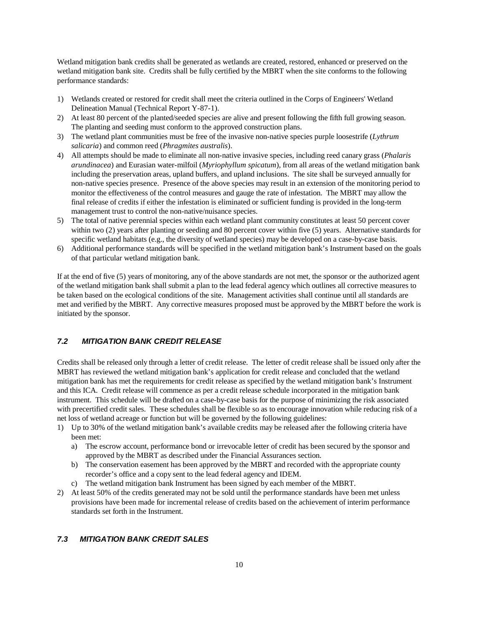Wetland mitigation bank credits shall be generated as wetlands are created, restored, enhanced or preserved on the wetland mitigation bank site. Credits shall be fully certified by the MBRT when the site conforms to the following performance standards:

- 1) Wetlands created or restored for credit shall meet the criteria outlined in the Corps of Engineers' Wetland Delineation Manual (Technical Report Y-87-1).
- 2) At least 80 percent of the planted/seeded species are alive and present following the fifth full growing season. The planting and seeding must conform to the approved construction plans.
- 3) The wetland plant communities must be free of the invasive non-native species purple loosestrife (*Lythrum salicaria*) and common reed (*Phragmites australis*).
- 4) All attempts should be made to eliminate all non-native invasive species, including reed canary grass (*Phalaris arundinacea*) and Eurasian water-milfoil (*Myriophyllum spicatum*), from all areas of the wetland mitigation bank including the preservation areas, upland buffers, and upland inclusions. The site shall be surveyed annually for non-native species presence. Presence of the above species may result in an extension of the monitoring period to monitor the effectiveness of the control measures and gauge the rate of infestation. The MBRT may allow the final release of credits if either the infestation is eliminated or sufficient funding is provided in the long-term management trust to control the non-native/nuisance species.
- 5) The total of native perennial species within each wetland plant community constitutes at least 50 percent cover within two (2) years after planting or seeding and 80 percent cover within five (5) years. Alternative standards for specific wetland habitats (e.g., the diversity of wetland species) may be developed on a case-by-case basis.
- 6) Additional performance standards will be specified in the wetland mitigation bank's Instrument based on the goals of that particular wetland mitigation bank.

If at the end of five (5) years of monitoring, any of the above standards are not met, the sponsor or the authorized agent of the wetland mitigation bank shall submit a plan to the lead federal agency which outlines all corrective measures to be taken based on the ecological conditions of the site. Management activities shall continue until all standards are met and verified by the MBRT. Any corrective measures proposed must be approved by the MBRT before the work is initiated by the sponsor.

### *7.2 MITIGATION BANK CREDIT RELEASE*

Credits shall be released only through a letter of credit release. The letter of credit release shall be issued only after the MBRT has reviewed the wetland mitigation bank's application for credit release and concluded that the wetland mitigation bank has met the requirements for credit release as specified by the wetland mitigation bank's Instrument and this ICA. Credit release will commence as per a credit release schedule incorporated in the mitigation bank instrument. This schedule will be drafted on a case-by-case basis for the purpose of minimizing the risk associated with precertified credit sales. These schedules shall be flexible so as to encourage innovation while reducing risk of a net loss of wetland acreage or function but will be governed by the following guidelines:

- 1) Up to 30% of the wetland mitigation bank's available credits may be released after the following criteria have been met:
	- a) The escrow account, performance bond or irrevocable letter of credit has been secured by the sponsor and approved by the MBRT as described under the Financial Assurances section.
	- b) The conservation easement has been approved by the MBRT and recorded with the appropriate county recorder's office and a copy sent to the lead federal agency and IDEM.
	- c) The wetland mitigation bank Instrument has been signed by each member of the MBRT.
- 2) At least 50% of the credits generated may not be sold until the performance standards have been met unless provisions have been made for incremental release of credits based on the achievement of interim performance standards set forth in the Instrument.

### *7.3 MITIGATION BANK CREDIT SALES*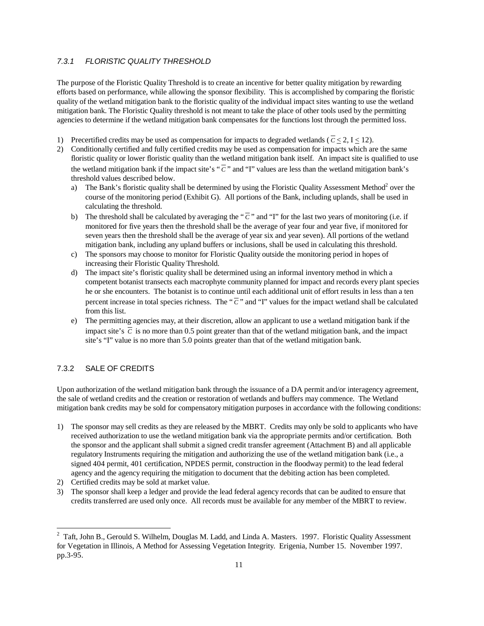### *7.3.1 FLORISTIC QUALITY THRESHOLD*

The purpose of the Floristic Quality Threshold is to create an incentive for better quality mitigation by rewarding efforts based on performance, while allowing the sponsor flexibility. This is accomplished by comparing the floristic quality of the wetland mitigation bank to the floristic quality of the individual impact sites wanting to use the wetland mitigation bank. The Floristic Quality threshold is not meant to take the place of other tools used by the permitting agencies to determine if the wetland mitigation bank compensates for the functions lost through the permitted loss.

- 1) Precertified credits may be used as compensation for impacts to degraded wetlands ( $\overline{c} \le 2$ ,  $I \le 12$ ).
- 2) Conditionally certified and fully certified credits may be used as compensation for impacts which are the same floristic quality or lower floristic quality than the wetland mitigation bank itself. An impact site is qualified to use the wetland mitigation bank if the impact site's " $\overline{C}$ " and "I" values are less than the wetland mitigation bank's threshold values described below.
	- a) The Bank's floristic quality shall be determined by using the Floristic Quality Assessment Method<sup>2</sup> over the course of the monitoring period (Exhibit G). All portions of the Bank, including uplands, shall be used in calculating the threshold.
	- b) The threshold shall be calculated by averaging the " $\bar{c}$ " and "I" for the last two years of monitoring (i.e. if monitored for five years then the threshold shall be the average of year four and year five, if monitored for seven years then the threshold shall be the average of year six and year seven). All portions of the wetland mitigation bank, including any upland buffers or inclusions, shall be used in calculating this threshold.
	- c) The sponsors may choose to monitor for Floristic Quality outside the monitoring period in hopes of increasing their Floristic Quality Threshold.
	- d) The impact site's floristic quality shall be determined using an informal inventory method in which a competent botanist transects each macrophyte community planned for impact and records every plant species he or she encounters. The botanist is to continue until each additional unit of effort results in less than a ten percent increase in total species richness. The " $\bar{c}$ " and "I" values for the impact wetland shall be calculated from this list.
	- e) The permitting agencies may, at their discretion, allow an applicant to use a wetland mitigation bank if the impact site's  $\overline{C}$  is no more than 0.5 point greater than that of the wetland mitigation bank, and the impact site's "I" value is no more than 5.0 points greater than that of the wetland mitigation bank.

### 7.3.2 SALE OF CREDITS

1

Upon authorization of the wetland mitigation bank through the issuance of a DA permit and/or interagency agreement, the sale of wetland credits and the creation or restoration of wetlands and buffers may commence. The Wetland mitigation bank credits may be sold for compensatory mitigation purposes in accordance with the following conditions:

- 1) The sponsor may sell credits as they are released by the MBRT. Credits may only be sold to applicants who have received authorization to use the wetland mitigation bank via the appropriate permits and/or certification. Both the sponsor and the applicant shall submit a signed credit transfer agreement (Attachment B) and all applicable regulatory Instruments requiring the mitigation and authorizing the use of the wetland mitigation bank (i.e., a signed 404 permit, 401 certification, NPDES permit, construction in the floodway permit) to the lead federal agency and the agency requiring the mitigation to document that the debiting action has been completed.
- 2) Certified credits may be sold at market value.
- 3) The sponsor shall keep a ledger and provide the lead federal agency records that can be audited to ensure that credits transferred are used only once. All records must be available for any member of the MBRT to review.

 $2^2$  Taft, John B., Gerould S. Wilhelm, Douglas M. Ladd, and Linda A. Masters. 1997. Floristic Quality Assessment for Vegetation in Illinois, A Method for Assessing Vegetation Integrity. Erigenia, Number 15. November 1997. pp.3-95.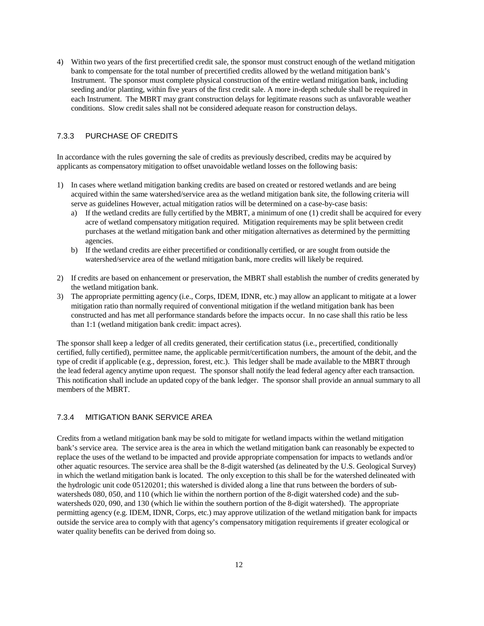4) Within two years of the first precertified credit sale, the sponsor must construct enough of the wetland mitigation bank to compensate for the total number of precertified credits allowed by the wetland mitigation bank's Instrument. The sponsor must complete physical construction of the entire wetland mitigation bank, including seeding and/or planting, within five years of the first credit sale. A more in-depth schedule shall be required in each Instrument. The MBRT may grant construction delays for legitimate reasons such as unfavorable weather conditions. Slow credit sales shall not be considered adequate reason for construction delays.

#### 7.3.3 PURCHASE OF CREDITS

In accordance with the rules governing the sale of credits as previously described, credits may be acquired by applicants as compensatory mitigation to offset unavoidable wetland losses on the following basis:

- 1) In cases where wetland mitigation banking credits are based on created or restored wetlands and are being acquired within the same watershed/service area as the wetland mitigation bank site, the following criteria will serve as guidelines However, actual mitigation ratios will be determined on a case-by-case basis:
	- a) If the wetland credits are fully certified by the MBRT, a minimum of one (1) credit shall be acquired for every acre of wetland compensatory mitigation required. Mitigation requirements may be split between credit purchases at the wetland mitigation bank and other mitigation alternatives as determined by the permitting agencies.
	- b) If the wetland credits are either precertified or conditionally certified, or are sought from outside the watershed/service area of the wetland mitigation bank, more credits will likely be required.
- 2) If credits are based on enhancement or preservation, the MBRT shall establish the number of credits generated by the wetland mitigation bank.
- 3) The appropriate permitting agency (i.e., Corps, IDEM, IDNR, etc.) may allow an applicant to mitigate at a lower mitigation ratio than normally required of conventional mitigation if the wetland mitigation bank has been constructed and has met all performance standards before the impacts occur. In no case shall this ratio be less than 1:1 (wetland mitigation bank credit: impact acres).

The sponsor shall keep a ledger of all credits generated, their certification status (i.e., precertified, conditionally certified, fully certified), permittee name, the applicable permit/certification numbers, the amount of the debit, and the type of credit if applicable (e.g., depression, forest, etc.). This ledger shall be made available to the MBRT through the lead federal agency anytime upon request. The sponsor shall notify the lead federal agency after each transaction. This notification shall include an updated copy of the bank ledger. The sponsor shall provide an annual summary to all members of the MBRT.

#### 7.3.4 MITIGATION BANK SERVICE AREA

Credits from a wetland mitigation bank may be sold to mitigate for wetland impacts within the wetland mitigation bank's service area. The service area is the area in which the wetland mitigation bank can reasonably be expected to replace the uses of the wetland to be impacted and provide appropriate compensation for impacts to wetlands and/or other aquatic resources. The service area shall be the 8-digit watershed (as delineated by the U.S. Geological Survey) in which the wetland mitigation bank is located. The only exception to this shall be for the watershed delineated with the hydrologic unit code 05120201; this watershed is divided along a line that runs between the borders of subwatersheds 080, 050, and 110 (which lie within the northern portion of the 8-digit watershed code) and the subwatersheds 020, 090, and 130 (which lie within the southern portion of the 8-digit watershed). The appropriate permitting agency (e.g. IDEM, IDNR, Corps, etc.) may approve utilization of the wetland mitigation bank for impacts outside the service area to comply with that agency's compensatory mitigation requirements if greater ecological or water quality benefits can be derived from doing so.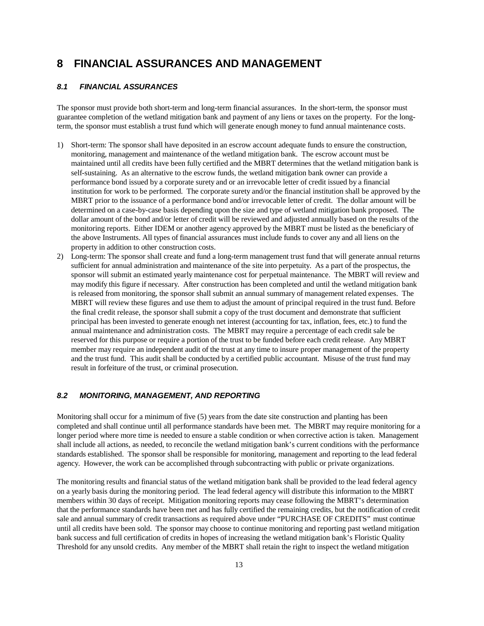# **8 FINANCIAL ASSURANCES AND MANAGEMENT**

### *8.1 FINANCIAL ASSURANCES*

The sponsor must provide both short-term and long-term financial assurances. In the short-term, the sponsor must guarantee completion of the wetland mitigation bank and payment of any liens or taxes on the property. For the longterm, the sponsor must establish a trust fund which will generate enough money to fund annual maintenance costs.

- 1) Short-term: The sponsor shall have deposited in an escrow account adequate funds to ensure the construction, monitoring, management and maintenance of the wetland mitigation bank. The escrow account must be maintained until all credits have been fully certified and the MBRT determines that the wetland mitigation bank is self-sustaining. As an alternative to the escrow funds, the wetland mitigation bank owner can provide a performance bond issued by a corporate surety and or an irrevocable letter of credit issued by a financial institution for work to be performed. The corporate surety and/or the financial institution shall be approved by the MBRT prior to the issuance of a performance bond and/or irrevocable letter of credit. The dollar amount will be determined on a case-by-case basis depending upon the size and type of wetland mitigation bank proposed. The dollar amount of the bond and/or letter of credit will be reviewed and adjusted annually based on the results of the monitoring reports. Either IDEM or another agency approved by the MBRT must be listed as the beneficiary of the above Instruments. All types of financial assurances must include funds to cover any and all liens on the property in addition to other construction costs.
- 2) Long-term: The sponsor shall create and fund a long-term management trust fund that will generate annual returns sufficient for annual administration and maintenance of the site into perpetuity. As a part of the prospectus, the sponsor will submit an estimated yearly maintenance cost for perpetual maintenance. The MBRT will review and may modify this figure if necessary. After construction has been completed and until the wetland mitigation bank is released from monitoring, the sponsor shall submit an annual summary of management related expenses. The MBRT will review these figures and use them to adjust the amount of principal required in the trust fund. Before the final credit release, the sponsor shall submit a copy of the trust document and demonstrate that sufficient principal has been invested to generate enough net interest (accounting for tax, inflation, fees, etc.) to fund the annual maintenance and administration costs. The MBRT may require a percentage of each credit sale be reserved for this purpose or require a portion of the trust to be funded before each credit release. Any MBRT member may require an independent audit of the trust at any time to insure proper management of the property and the trust fund. This audit shall be conducted by a certified public accountant. Misuse of the trust fund may result in forfeiture of the trust, or criminal prosecution.

### *8.2 MONITORING, MANAGEMENT, AND REPORTING*

Monitoring shall occur for a minimum of five (5) years from the date site construction and planting has been completed and shall continue until all performance standards have been met. The MBRT may require monitoring for a longer period where more time is needed to ensure a stable condition or when corrective action is taken. Management shall include all actions, as needed, to reconcile the wetland mitigation bank's current conditions with the performance standards established. The sponsor shall be responsible for monitoring, management and reporting to the lead federal agency. However, the work can be accomplished through subcontracting with public or private organizations.

The monitoring results and financial status of the wetland mitigation bank shall be provided to the lead federal agency on a yearly basis during the monitoring period. The lead federal agency will distribute this information to the MBRT members within 30 days of receipt. Mitigation monitoring reports may cease following the MBRT's determination that the performance standards have been met and has fully certified the remaining credits, but the notification of credit sale and annual summary of credit transactions as required above under "PURCHASE OF CREDITS" must continue until all credits have been sold. The sponsor may choose to continue monitoring and reporting past wetland mitigation bank success and full certification of credits in hopes of increasing the wetland mitigation bank's Floristic Quality Threshold for any unsold credits. Any member of the MBRT shall retain the right to inspect the wetland mitigation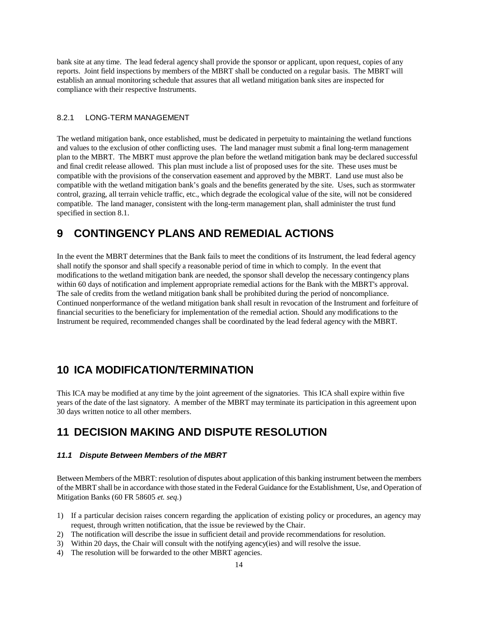bank site at any time. The lead federal agency shall provide the sponsor or applicant, upon request, copies of any reports. Joint field inspections by members of the MBRT shall be conducted on a regular basis. The MBRT will establish an annual monitoring schedule that assures that all wetland mitigation bank sites are inspected for compliance with their respective Instruments.

#### 8.2.1 LONG-TERM MANAGEMENT

The wetland mitigation bank, once established, must be dedicated in perpetuity to maintaining the wetland functions and values to the exclusion of other conflicting uses. The land manager must submit a final long-term management plan to the MBRT. The MBRT must approve the plan before the wetland mitigation bank may be declared successful and final credit release allowed. This plan must include a list of proposed uses for the site. These uses must be compatible with the provisions of the conservation easement and approved by the MBRT. Land use must also be compatible with the wetland mitigation bank's goals and the benefits generated by the site. Uses, such as stormwater control, grazing, all terrain vehicle traffic, etc., which degrade the ecological value of the site, will not be considered compatible. The land manager, consistent with the long-term management plan, shall administer the trust fund specified in section 8.1.

# **9 CONTINGENCY PLANS AND REMEDIAL ACTIONS**

In the event the MBRT determines that the Bank fails to meet the conditions of its Instrument, the lead federal agency shall notify the sponsor and shall specify a reasonable period of time in which to comply. In the event that modifications to the wetland mitigation bank are needed, the sponsor shall develop the necessary contingency plans within 60 days of notification and implement appropriate remedial actions for the Bank with the MBRT's approval. The sale of credits from the wetland mitigation bank shall be prohibited during the period of noncompliance. Continued nonperformance of the wetland mitigation bank shall result in revocation of the Instrument and forfeiture of financial securities to the beneficiary for implementation of the remedial action. Should any modifications to the Instrument be required, recommended changes shall be coordinated by the lead federal agency with the MBRT.

### **10 ICA MODIFICATION/TERMINATION**

This ICA may be modified at any time by the joint agreement of the signatories. This ICA shall expire within five years of the date of the last signatory. A member of the MBRT may terminate its participation in this agreement upon 30 days written notice to all other members.

# **11 DECISION MAKING AND DISPUTE RESOLUTION**

#### *11.1 Dispute Between Members of the MBRT*

Between Members of the MBRT: resolution of disputes about application of this banking instrument between the members of the MBRT shall be in accordance with those stated in the Federal Guidance for the Establishment, Use, and Operation of Mitigation Banks (60 FR 58605 *et. seq.*)

- 1) If a particular decision raises concern regarding the application of existing policy or procedures, an agency may request, through written notification, that the issue be reviewed by the Chair.
- 2) The notification will describe the issue in sufficient detail and provide recommendations for resolution.
- 3) Within 20 days, the Chair will consult with the notifying agency(ies) and will resolve the issue.
- 4) The resolution will be forwarded to the other MBRT agencies.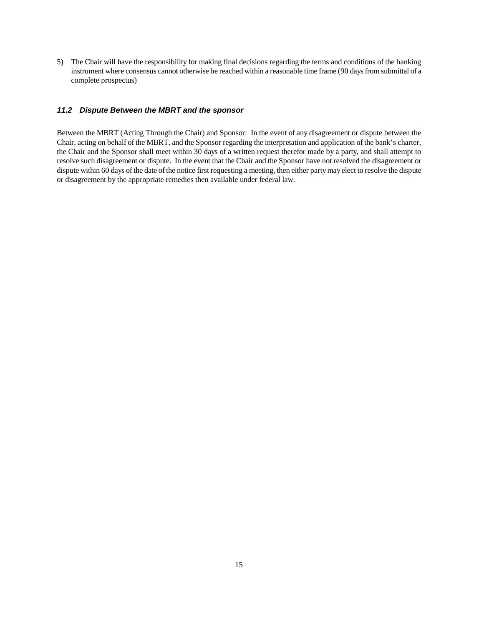5) The Chair will have the responsibility for making final decisions regarding the terms and conditions of the banking instrument where consensus cannot otherwise be reached within a reasonable time frame (90 days from submittal of a complete prospectus)

#### *11.2 Dispute Between the MBRT and the sponsor*

Between the MBRT (Acting Through the Chair) and Sponsor: In the event of any disagreement or dispute between the Chair, acting on behalf of the MBRT, and the Sponsor regarding the interpretation and application of the bank's charter, the Chair and the Sponsor shall meet within 30 days of a written request therefor made by a party, and shall attempt to resolve such disagreement or dispute. In the event that the Chair and the Sponsor have not resolved the disagreement or dispute within 60 days of the date of the notice first requesting a meeting, then either party may elect to resolve the dispute or disagreement by the appropriate remedies then available under federal law.